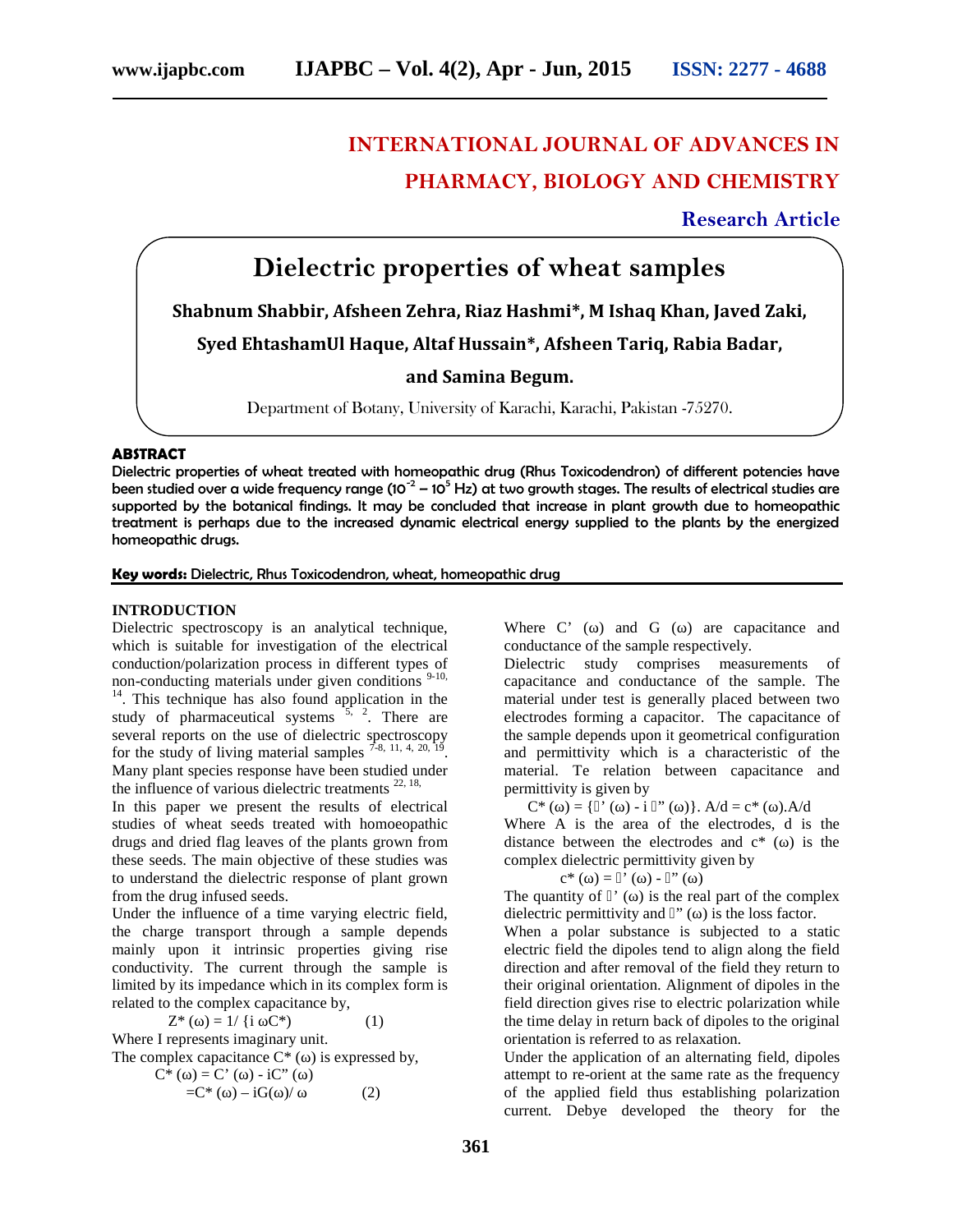# **INTERNATIONAL JOURNAL OF ADVANCES IN PHARMACY, BIOLOGY AND CHEMISTRY**

## **Research Article**

# **Dielectric properties of wheat samples**

**Shabnum Shabbir, Afsheen Zehra, Riaz Hashmi\*, M Ishaq Khan, Javed Zaki,**

**Syed EhtashamUl Haque, Altaf Hussain\*, Afsheen Tariq, Rabia Badar,**

**and Samina Begum.**

Department of Botany, University of Karachi, Karachi, Pakistan -75270.

### **ABSTRACT**

Dielectric properties of wheat treated with homeopathic drug (Rhus Toxicodendron) of different potencies have been studied over a wide frequency range (10<sup>-2</sup> – 10<sup>5</sup> Hz) at two growth stages. The results of electrical studies are supported by the botanical findings. It may be concluded that increase in plant growth due to homeopathic treatment is perhaps due to the increased dynamic electrical energy supplied to the plants by the energized homeopathic drugs.

#### **Key words:** Dielectric, Rhus Toxicodendron, wheat, homeopathic drug

#### **INTRODUCTION**

Dielectric spectroscopy is an analytical technique, which is suitable for investigation of the electrical conduction/polarization process in different types of non-conducting materials under given conditions  $9-10$ ,  $14$ . This technique has also found application in the study of pharmaceutical systems  $\frac{5}{5}$ ,  $\frac{2}{5}$ . There are several reports on the use of dielectric spectroscopy for the study of living material samples  $7-8$ , 11, 4, 20, 19. . Many plant species response have been studied under the influence of various dielectric treatments  $22, 18$ ,

In this paper we present the results of electrical studies of wheat seeds treated with homoeopathic drugs and dried flag leaves of the plants grown from these seeds. The main objective of these studies was to understand the dielectric response of plant grown from the drug infused seeds.

Under the influence of a time varying electric field, the charge transport through a sample depends mainly upon it intrinsic properties giving rise conductivity. The current through the sample is limited by its impedance which in its complex form is related to the complex capacitance by,

 $Z^*$  ( ) = 1/ {i  $C^*$ ) (1) Where I represents imaginary unit. The complex capacitance  $C^*$  () is expressed by,

$$
C^* ( ) = C^* ( ) - iC^* ( )
$$
  
= C^\* ( ) - iG ( )/ (2)

Where  $C'$  () and  $G$  () are capacitance and conductance of the sample respectively.

Dielectric study comprises measurements of capacitance and conductance of the sample. The material under test is generally placed between two electrodes forming a capacitor. The capacitance of the sample depends upon it geometrical configuration and permittivity which is a characteristic of the material. Te relation between capacitance and permittivity is given by

 $C^*$  ( ) = { ' ( ) - i " ( )}. A/d = c\* ( ). A/d Where A is the area of the electrodes, d is the distance between the electrodes and  $c^*$  () is the complex dielectric permittivity given by

$$
c^* ( ) = ' ( ) - " ( )
$$

The quantity of  $\dot{\ }$  () is the real part of the complex dielectric permittivity and  $"$  ( $)$  is the loss factor.

When a polar substance is subjected to a static electric field the dipoles tend to align along the field direction and after removal of the field they return to their original orientation. Alignment of dipoles in the field direction gives rise to electric polarization while the time delay in return back of dipoles to the original orientation is referred to as relaxation.

Under the application of an alternating field, dipoles attempt to re-orient at the same rate as the frequency of the applied field thus establishing polarization current. Debye developed the theory for the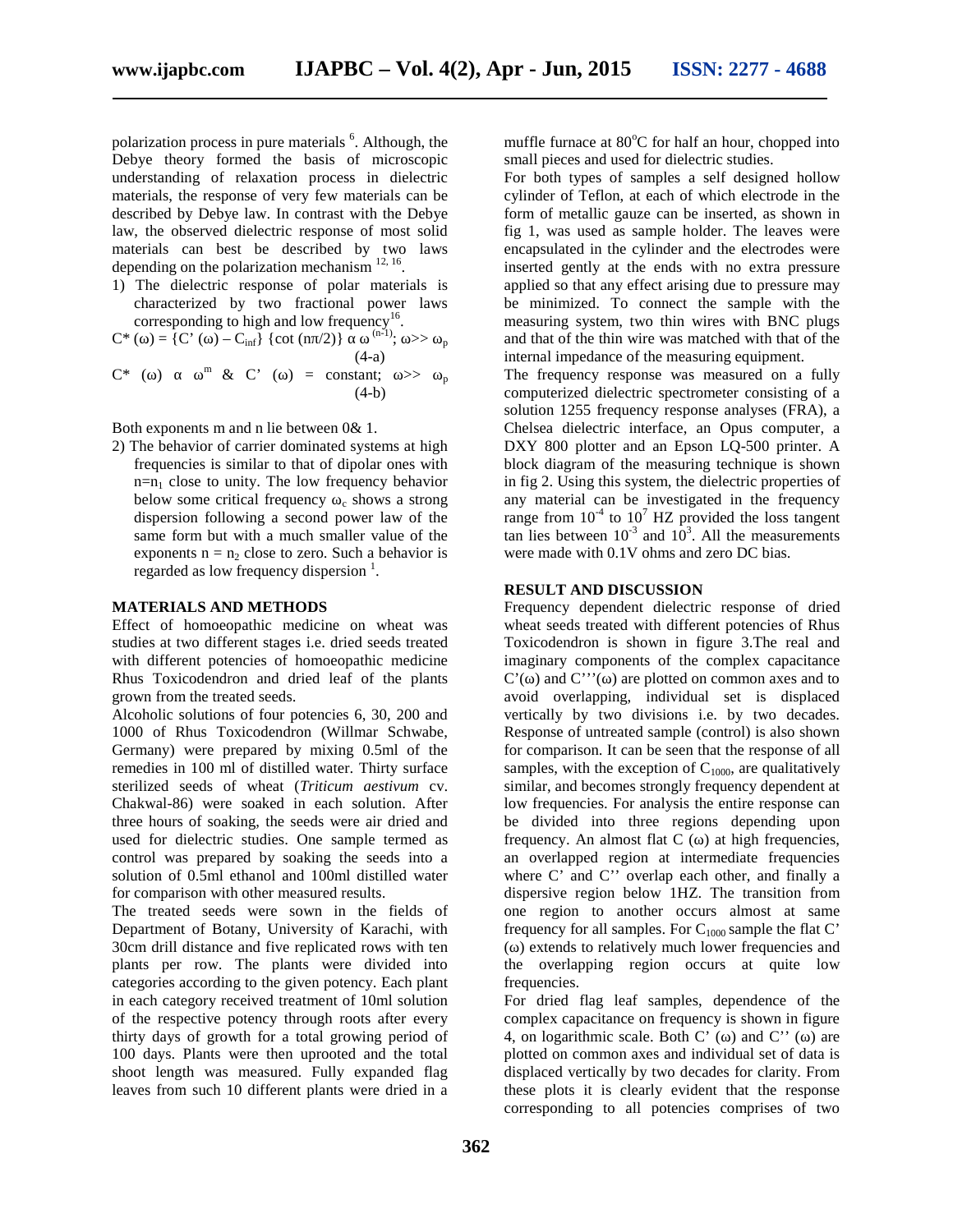polarization process in pure materials <sup>6</sup>. Although, the Debye theory formed the basis of microscopic understanding of relaxation process in dielectric materials, the response of very few materials can be described by Debye law. In contrast with the Debye law, the observed dielectric response of most solid materials can best be described by two laws depending on the polarization mechanism  $^{12, 16}$ .

1) The dielectric response of polar materials is characterized by two fractional power laws corresponding to high and low frequency<sup>16</sup>. .

$$
C^* (\ ) = \{ C' (\ ) - C_{\inf} \} \{ \cot (n / 2) \}^{\text{(n-1)}}; \ > > \ _{p}
$$
  

$$
C^* (\ ) \qquad {}^m \& C' (\ ) = \text{constant}; \ > > \ _{p}
$$
  

$$
(4-a)
$$
  

$$
(4-b)
$$

Both exponents m and n lie between 0& 1.

2) The behavior of carrier dominated systems at high frequencies is similar to that of dipolar ones with  $n=n_1$  close to unity. The low frequency behavior below some critical frequency  $\epsilon$  shows a strong dispersion following a second power law of the same form but with a much smaller value of the exponents  $n = n_2$  close to zero. Such a behavior is regarded as low frequency dispersion  $<sup>1</sup>$ .</sup>

### **MATERIALS AND METHODS**

Effect of homoeopathic medicine on wheat was studies at two different stages i.e. dried seeds treated with different potencies of homoeopathic medicine Rhus Toxicodendron and dried leaf of the plants grown from the treated seeds.

Alcoholic solutions of four potencies 6, 30, 200 and 1000 of Rhus Toxicodendron (Willmar Schwabe, Germany) were prepared by mixing 0.5ml of the remedies in 100 ml of distilled water. Thirty surface sterilized seeds of wheat (*Triticum aestivum* cv. Chakwal-86) were soaked in each solution. After three hours of soaking, the seeds were air dried and used for dielectric studies. One sample termed as control was prepared by soaking the seeds into a solution of 0.5ml ethanol and 100ml distilled water for comparison with other measured results.

The treated seeds were sown in the fields of Department of Botany, University of Karachi, with 30cm drill distance and five replicated rows with ten plants per row. The plants were divided into categories according to the given potency. Each plant in each category received treatment of 10ml solution of the respective potency through roots after every thirty days of growth for a total growing period of 100 days. Plants were then uprooted and the total shoot length was measured. Fully expanded flag leaves from such 10 different plants were dried in a muffle furnace at  $80^{\circ}$ C for half an hour, chopped into small pieces and used for dielectric studies.

For both types of samples a self designed hollow cylinder of Teflon, at each of which electrode in the form of metallic gauze can be inserted, as shown in fig 1, was used as sample holder. The leaves were encapsulated in the cylinder and the electrodes were inserted gently at the ends with no extra pressure applied so that any effect arising due to pressure may be minimized. To connect the sample with the measuring system, two thin wires with BNC plugs and that of the thin wire was matched with that of the internal impedance of the measuring equipment.

The frequency response was measured on a fully computerized dielectric spectrometer consisting of a solution 1255 frequency response analyses (FRA), a Chelsea dielectric interface, an Opus computer, a DXY 800 plotter and an Epson LQ-500 printer. A block diagram of the measuring technique is shown in fig 2. Using this system, the dielectric properties of any material can be investigated in the frequency range from  $10^{-4}$  to  $10^{7}$  HZ provided the loss tangent tan lies between  $10^{-3}$  and  $10^{3}$ . All the measurements were made with 0.1V ohms and zero DC bias.

## **RESULT AND DISCUSSION**

Frequency dependent dielectric response of dried wheat seeds treated with different potencies of Rhus Toxicodendron is shown in figure 3.The real and imaginary components of the complex capacitance  $C'$ ( $\cdot$ ) and  $C''$ ( $\cdot$ ) are plotted on common axes and to avoid overlapping, individual set is displaced vertically by two divisions i.e. by two decades. Response of untreated sample (control) is also shown for comparison. It can be seen that the response of all samples, with the exception of  $C_{1000}$ , are qualitatively similar, and becomes strongly frequency dependent at low frequencies. For analysis the entire response can be divided into three regions depending upon frequency. An almost flat  $C$  ( $\cdot$ ) at high frequencies, an overlapped region at intermediate frequencies where C' and C'' overlap each other, and finally a dispersive region below 1HZ. The transition from one region to another occurs almost at same frequency for all samples. For  $C_{1000}$  sample the flat C' (ω) extends to relatively much lower frequencies and the overlapping region occurs at quite low frequencies.

For dried flag leaf samples, dependence of the complex capacitance on frequency is shown in figure 4, on logarithmic scale. Both  $C'$  () and  $C''$  () are plotted on common axes and individual set of data is displaced vertically by two decades for clarity. From these plots it is clearly evident that the response corresponding to all potencies comprises of two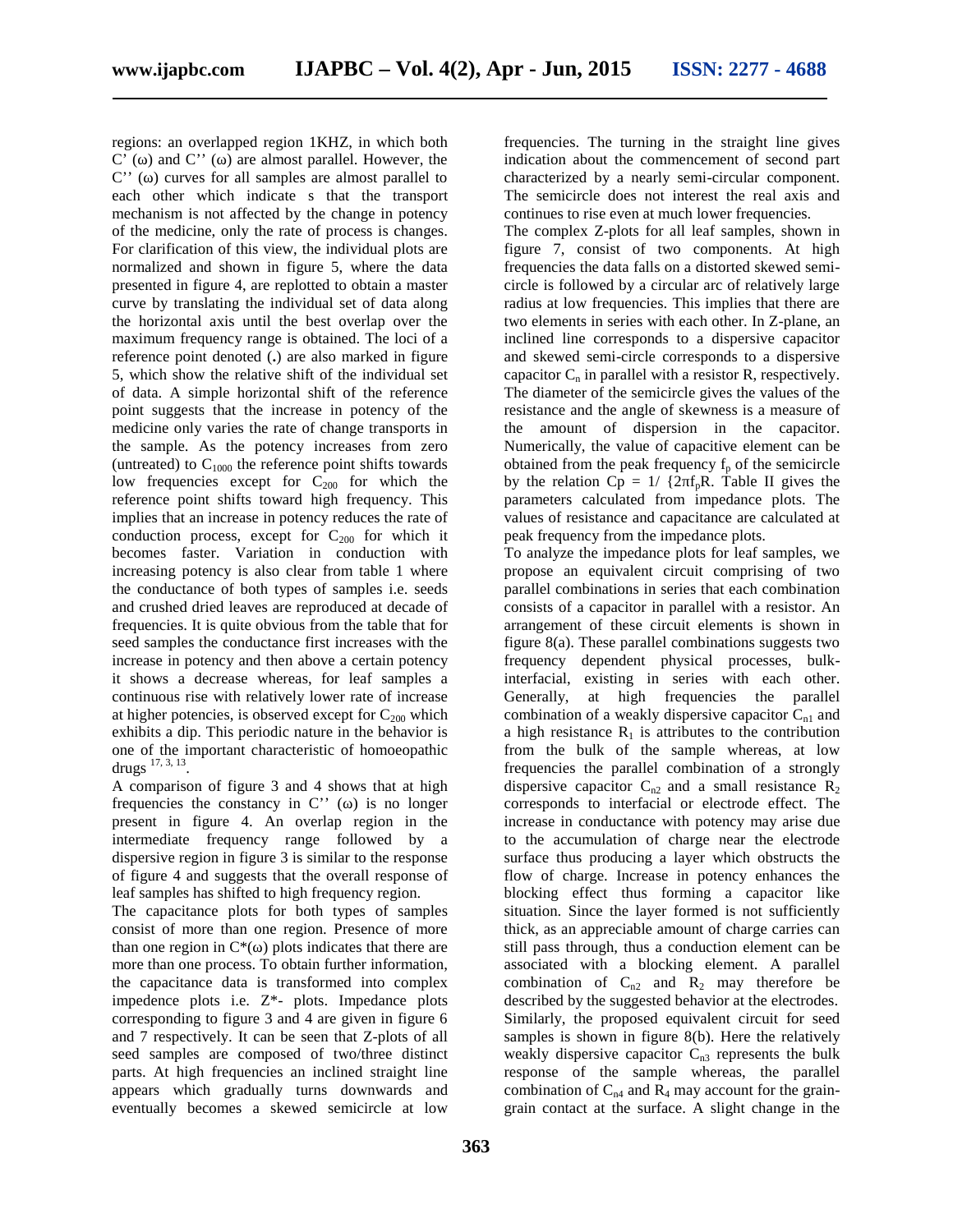regions: an overlapped region 1KHZ, in which both  $C'$  () and  $C''$  () are almost parallel. However, the  $C'$  () curves for all samples are almost parallel to each other which indicate s that the transport mechanism is not affected by the change in potency of the medicine, only the rate of process is changes. For clarification of this view, the individual plots are normalized and shown in figure 5, where the data presented in figure 4, are replotted to obtain a master curve by translating the individual set of data along the horizontal axis until the best overlap over the maximum frequency range is obtained. The loci of a reference point denoted (**.**) are also marked in figure 5, which show the relative shift of the individual set of data. A simple horizontal shift of the reference point suggests that the increase in potency of the medicine only varies the rate of change transports in the sample. As the potency increases from zero (untreated) to  $C_{1000}$  the reference point shifts towards low frequencies except for  $C_{200}$  for which the reference point shifts toward high frequency. This implies that an increase in potency reduces the rate of conduction process, except for  $C_{200}$  for which it becomes faster. Variation in conduction with increasing potency is also clear from table 1 where the conductance of both types of samples i.e. seeds and crushed dried leaves are reproduced at decade of frequencies. It is quite obvious from the table that for seed samples the conductance first increases with the increase in potency and then above a certain potency it shows a decrease whereas, for leaf samples a continuous rise with relatively lower rate of increase at higher potencies, is observed except for  $C_{200}$  which exhibits a dip. This periodic nature in the behavior is one of the important characteristic of homoeopathic drugs  $17, 3, 13$ .

A comparison of figure 3 and 4 shows that at high frequencies the constancy in  $C'$  ( $\cdot$ ) is no longer present in figure 4. An overlap region in the intermediate frequency range followed by a dispersive region in figure 3 is similar to the response of figure 4 and suggests that the overall response of leaf samples has shifted to high frequency region.

The capacitance plots for both types of samples consist of more than one region. Presence of more than one region in  $C^*$ ( $\cdot$ ) plots indicates that there are more than one process. To obtain further information, the capacitance data is transformed into complex impedence plots i.e. Z\*- plots. Impedance plots corresponding to figure 3 and 4 are given in figure 6 and 7 respectively. It can be seen that Z-plots of all seed samples are composed of two/three distinct parts. At high frequencies an inclined straight line appears which gradually turns downwards and eventually becomes a skewed semicircle at low

frequencies. The turning in the straight line gives indication about the commencement of second part characterized by a nearly semi-circular component. The semicircle does not interest the real axis and continues to rise even at much lower frequencies.

The complex Z-plots for all leaf samples, shown in figure 7, consist of two components. At high frequencies the data falls on a distorted skewed semi circle is followed by a circular arc of relatively large radius at low frequencies. This implies that there are two elements in series with each other. In Z-plane, an inclined line corresponds to a dispersive capacitor and skewed semi-circle corresponds to a dispersive capacitor  $C_n$  in parallel with a resistor R, respectively. The diameter of the semicircle gives the values of the resistance and the angle of skewness is a measure of the amount of dispersion in the capacitor. Numerically, the value of capacitive element can be obtained from the peak frequency  $f_p$  of the semicircle by the relation Cp =  $1/$  {2 f<sub>p</sub>R. Table II gives the parameters calculated from impedance plots. The values of resistance and capacitance are calculated at peak frequency from the impedance plots.

To analyze the impedance plots for leaf samples, we propose an equivalent circuit comprising of two parallel combinations in series that each combination consists of a capacitor in parallel with a resistor. An arrangement of these circuit elements is shown in figure 8(a). These parallel combinations suggests two frequency dependent physical processes, bulkinterfacial, existing in series with each other. Generally, at high frequencies the parallel combination of a weakly dispersive capacitor  $C_{n1}$  and a high resistance  $R_1$  is attributes to the contribution from the bulk of the sample whereas, at low frequencies the parallel combination of a strongly dispersive capacitor  $C_{n2}$  and a small resistance  $R_2$ corresponds to interfacial or electrode effect. The increase in conductance with potency may arise due to the accumulation of charge near the electrode surface thus producing a layer which obstructs the flow of charge. Increase in potency enhances the blocking effect thus forming a capacitor like situation. Since the layer formed is not sufficiently thick, as an appreciable amount of charge carries can still pass through, thus a conduction element can be associated with a blocking element. A parallel combination of  $C_{n2}$  and  $R_2$  may therefore be described by the suggested behavior at the electrodes. Similarly, the proposed equivalent circuit for seed samples is shown in figure 8(b). Here the relatively weakly dispersive capacitor  $C_{n3}$  represents the bulk response of the sample whereas, the parallel combination of  $C_{n4}$  and  $R_4$  may account for the graingrain contact at the surface. A slight change in the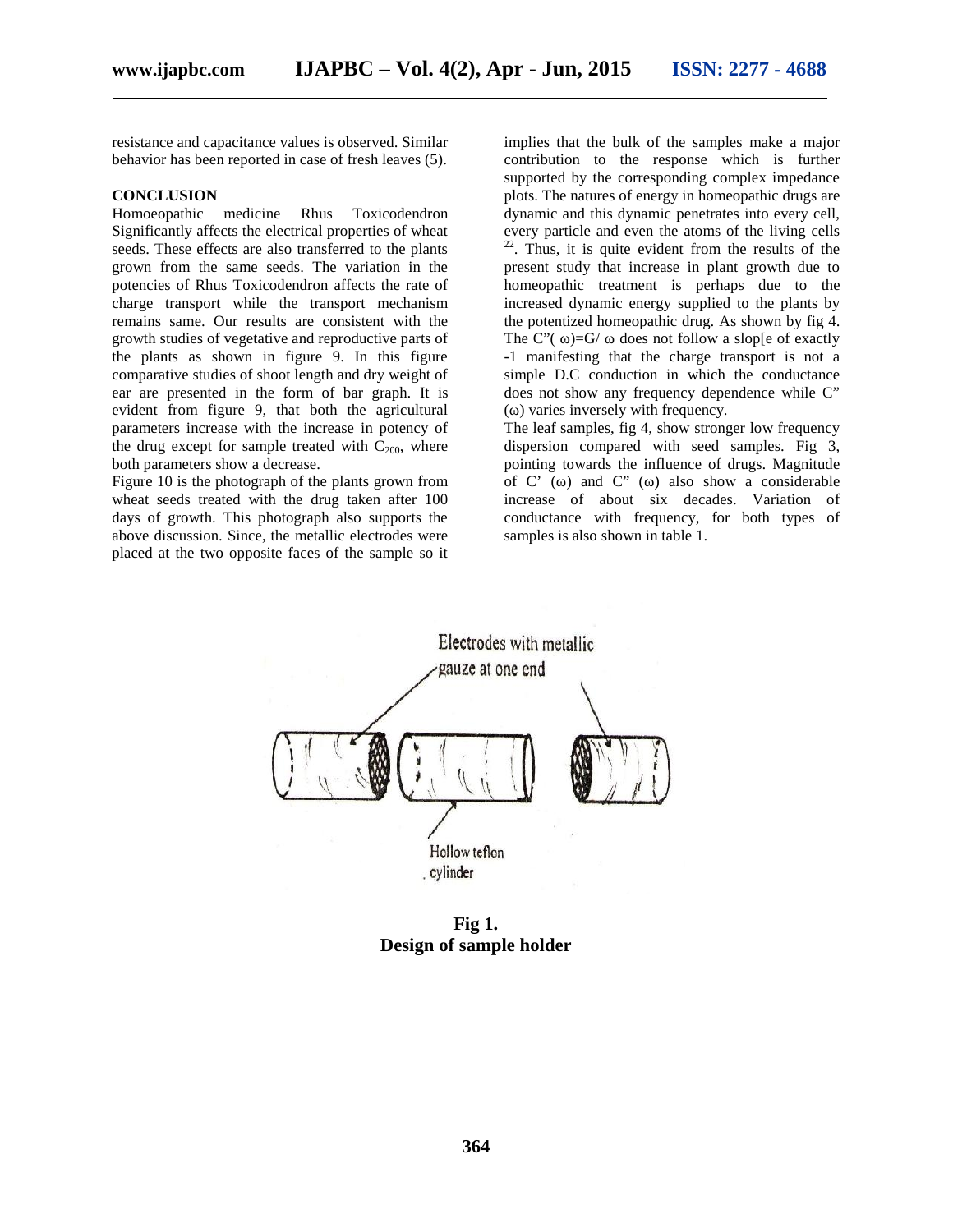resistance and capacitance values is observed. Similar behavior has been reported in case of fresh leaves (5).

#### **CONCLUSION**

Homoeopathic medicine Rhus Toxicodendron Significantly affects the electrical properties of wheat seeds. These effects are also transferred to the plants grown from the same seeds. The variation in the potencies of Rhus Toxicodendron affects the rate of charge transport while the transport mechanism remains same. Our results are consistent with the growth studies of vegetative and reproductive parts of the plants as shown in figure 9. In this figure comparative studies of shoot length and dry weight of ear are presented in the form of bar graph. It is evident from figure 9, that both the agricultural parameters increase with the increase in potency of the drug except for sample treated with  $C_{200}$ , where both parameters show a decrease.

Figure 10 is the photograph of the plants grown from wheat seeds treated with the drug taken after 100 days of growth. This photograph also supports the above discussion. Since, the metallic electrodes were placed at the two opposite faces of the sample so it implies that the bulk of the samples make a major contribution to the response which is further supported by the corresponding complex impedance plots. The natures of energy in homeopathic drugs are dynamic and this dynamic penetrates into every cell, every particle and even the atoms of the living cells  $22$ . Thus, it is quite evident from the results of the present study that increase in plant growth due to homeopathic treatment is perhaps due to the increased dynamic energy supplied to the plants by the potentized homeopathic drug. As shown by fig 4. The  $C''$ ( )=G/ does not follow a slop[e of exactly -1 manifesting that the charge transport is not a simple D.C conduction in which the conductance does not show any frequency dependence while C" () varies inversely with frequency.

The leaf samples, fig 4, show stronger low frequency dispersion compared with seed samples. Fig 3, pointing towards the influence of drugs. Magnitude of  $C'$  () and  $C''$  () also show a considerable increase of about six decades. Variation of conductance with frequency, for both types of samples is also shown in table 1.



**Fig 1. Design of sample holder**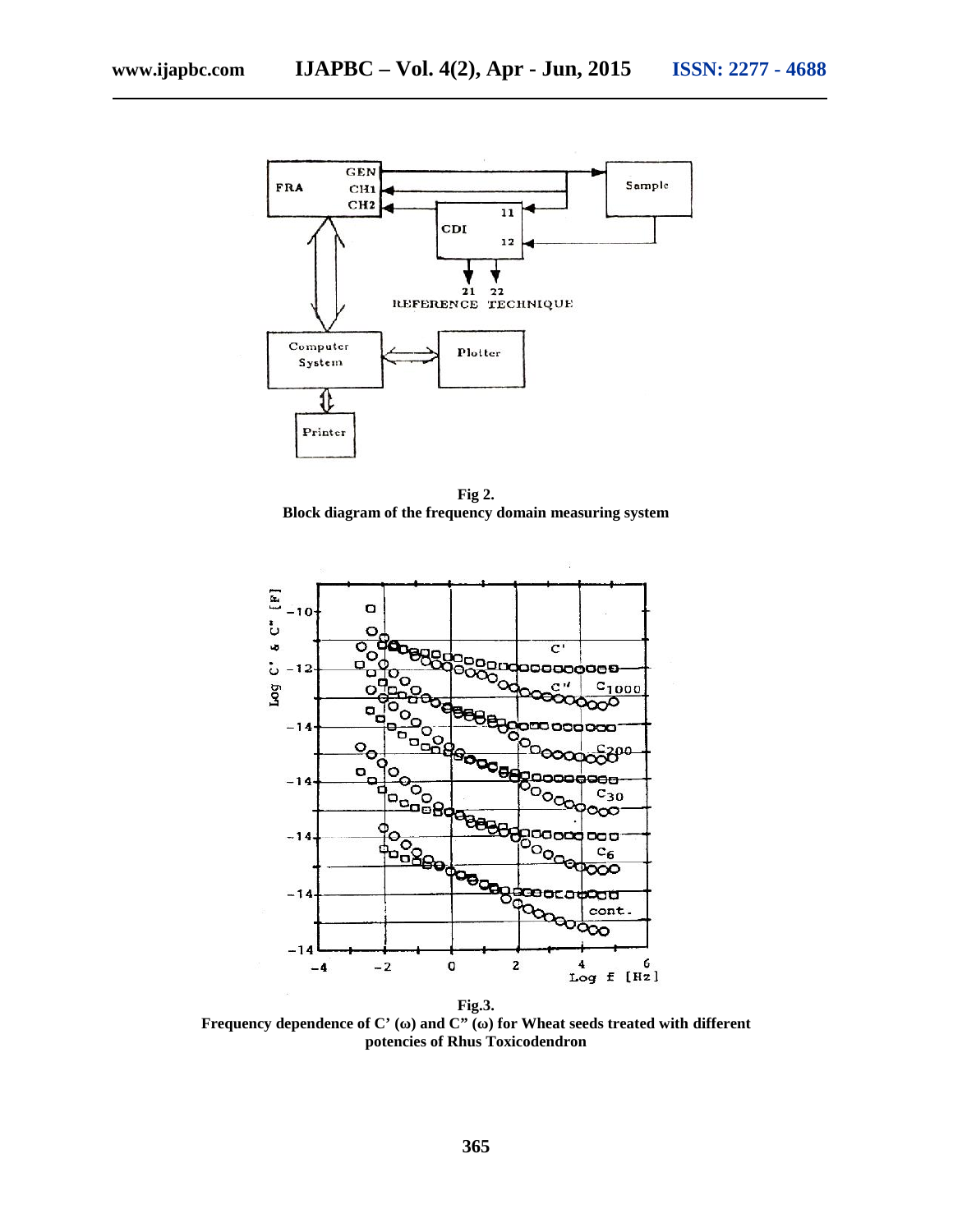

**Fig 2. Block diagram of the frequency domain measuring system**



Frequency dependence of C' ( $\ )$  and C" ( $\ )$  for Wheat seeds treated with different **potencies of Rhus Toxicodendron**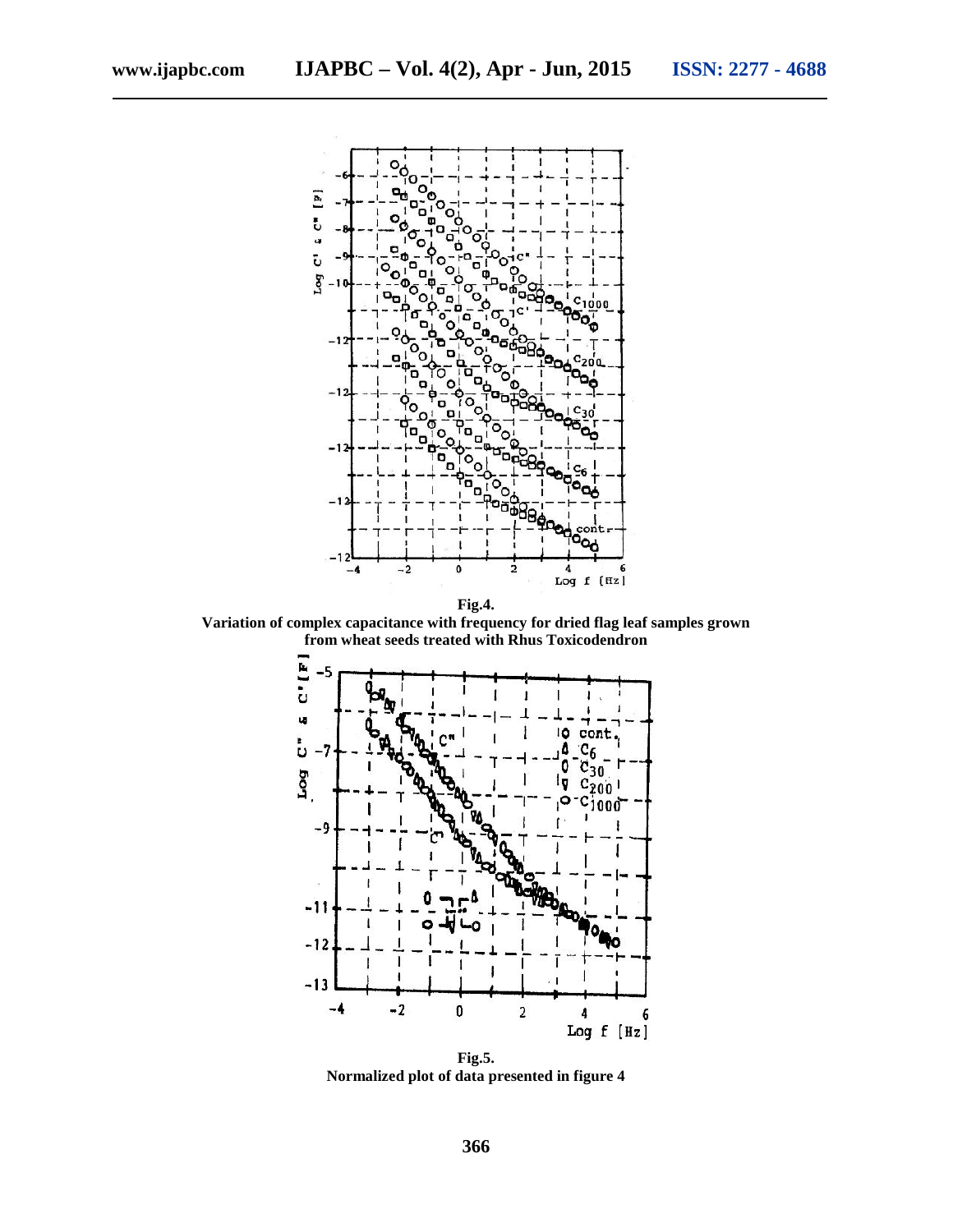

**Variation of complex capacitance with frequency for dried flag leaf samples grown from wheat seeds treated with Rhus Toxicodendron**



**Fig.5. Normalized plot of data presented in figure 4**

**366**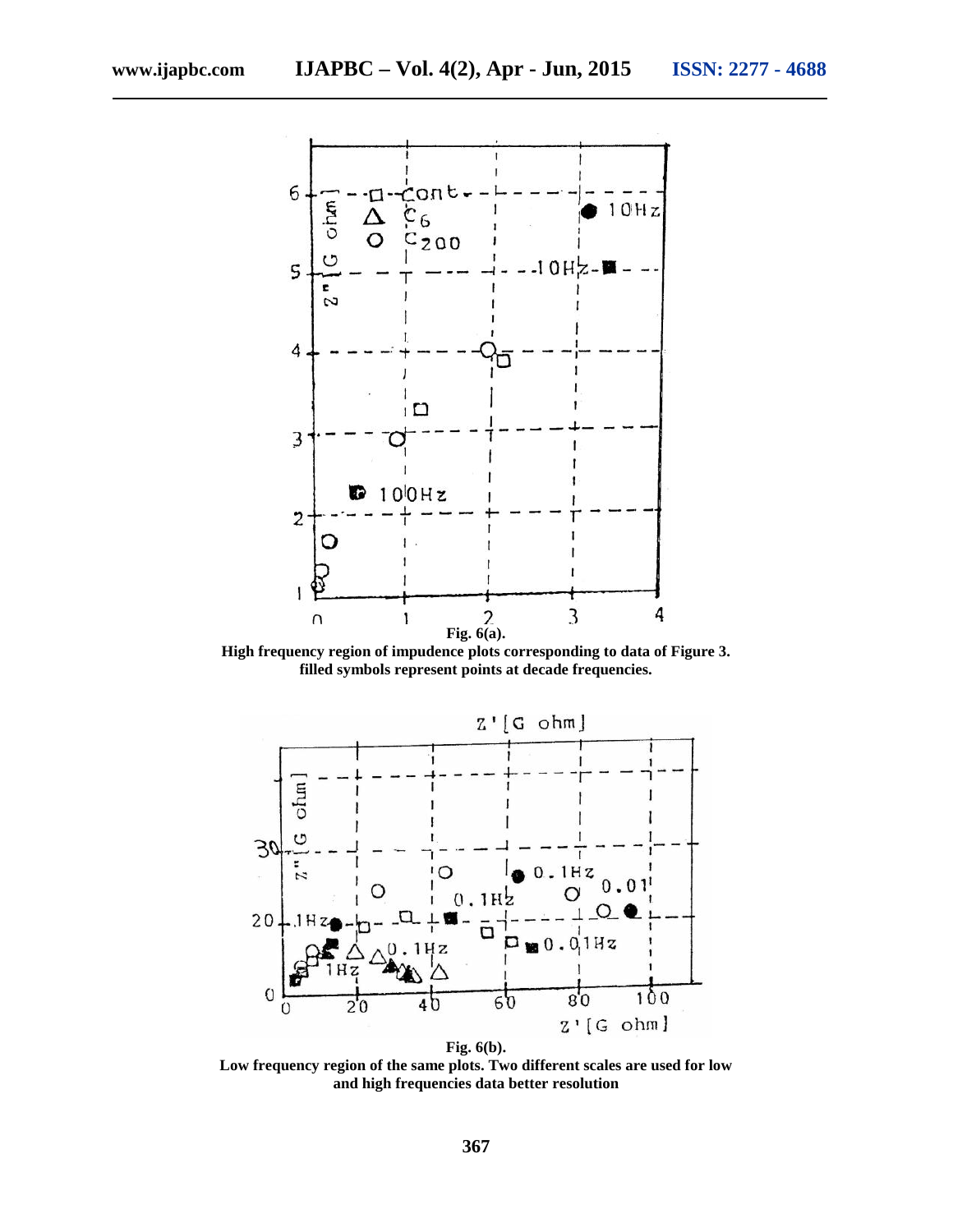

**High frequency region of impudence plots corresponding to data of Figure 3. filled symbols represent points at decade frequencies.**



**Low frequency region of the same plots. Two different scales are used for low and high frequencies data better resolution**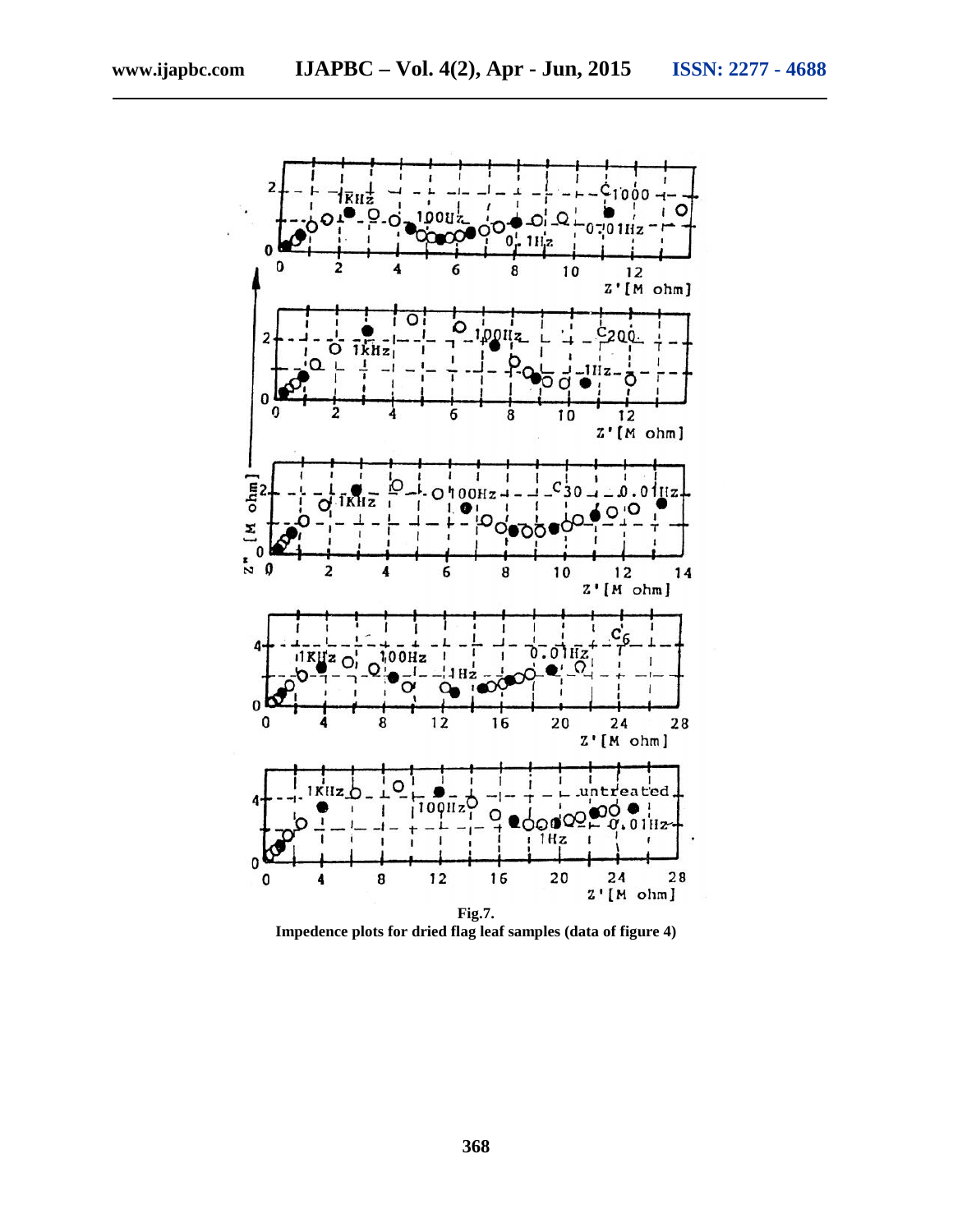

**Impedence plots for dried flag leaf samples (data of figure 4)**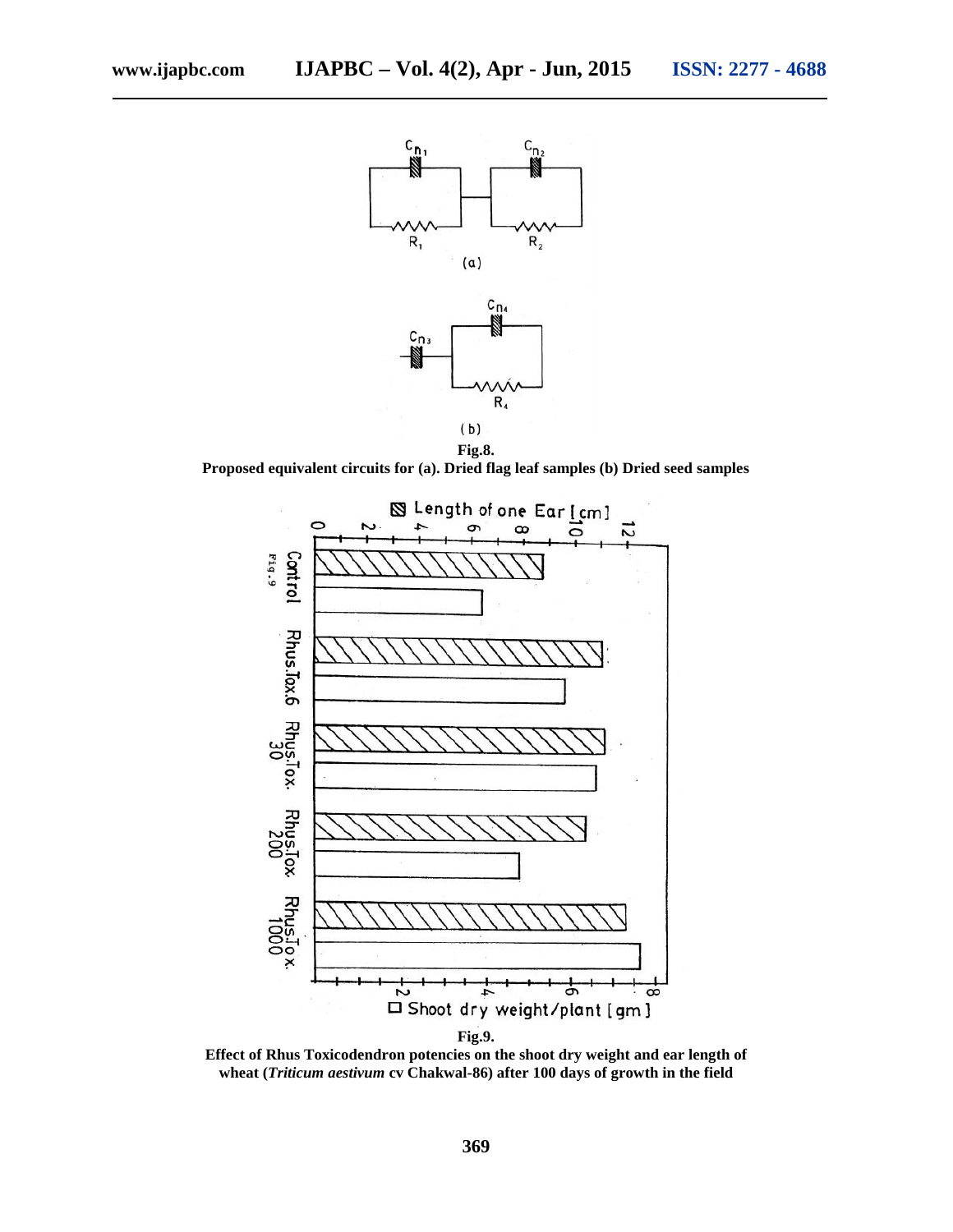

**Proposed equivalent circuits for (a). Dried flag leaf samples (b) Dried seed samples**



**Effect of Rhus Toxicodendron potencies on the shoot dry weight and ear length of wheat (***Triticum aestivum* **cv Chakwal-86) after 100 days of growth in the field**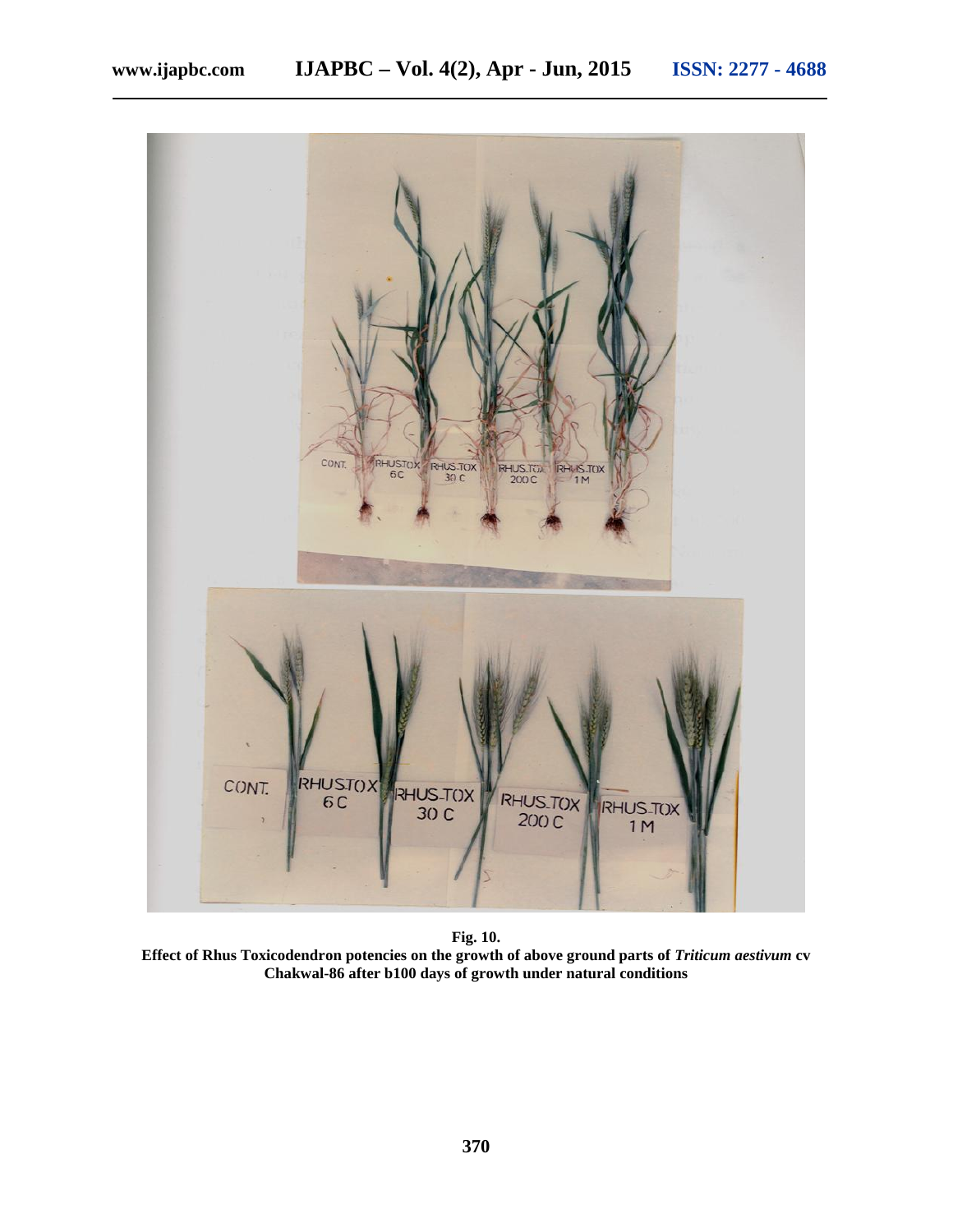

**Fig. 10.**

**Effect of Rhus Toxicodendron potencies on the growth of above ground parts of** *Triticum aestivum* **cv Chakwal-86 after b100 days of growth under natural conditions**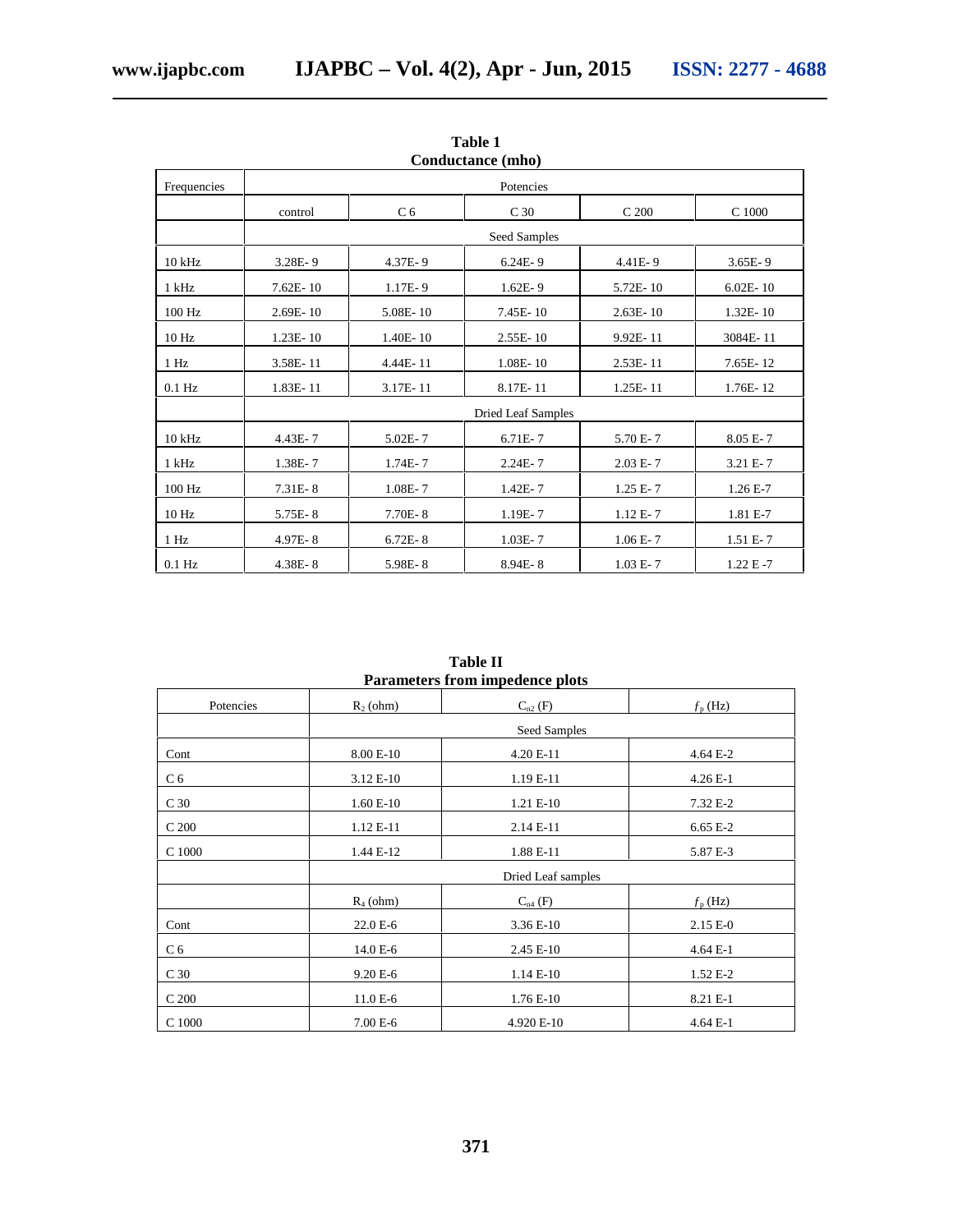| Conquetance (milo) |              |                           |                 |                  |              |  |
|--------------------|--------------|---------------------------|-----------------|------------------|--------------|--|
| Frequencies        | Potencies    |                           |                 |                  |              |  |
|                    | control      | C <sub>6</sub>            | C <sub>30</sub> | C <sub>200</sub> | C 1000       |  |
|                    | Seed Samples |                           |                 |                  |              |  |
| $10$ kHz           | $3.28E - 9$  | 4.37E-9                   | $6.24E - 9$     | 4.41E-9          | $3.65E - 9$  |  |
| 1 kHz              | $7.62E - 10$ | $1.17E - 9$               | $1.62E - 9$     | $5.72E - 10$     | $6.02E - 10$ |  |
| 100 Hz             | 2.69E-10     | 5.08E-10                  | 7.45E-10        | $2.63E - 10$     | $1.32E - 10$ |  |
| 10 <sub>Hz</sub>   | $1.23E - 10$ | $1.40E - 10$              | $2.55E - 10$    | 9.92E-11         | 3084E-11     |  |
| 1 Hz               | 3.58E-11     | 4.44E-11                  | $1.08E - 10$    | 2.53E-11         | 7.65E-12     |  |
| $0.1$ Hz           | 1.83E-11     | 3.17E-11                  | 8.17E-11        | 1.25E-11         | 1.76E-12     |  |
|                    |              | <b>Dried Leaf Samples</b> |                 |                  |              |  |
| $10$ kHz           | 4.43E-7      | $5.02E - 7$               | $6.71E - 7$     | 5.70 E-7         | 8.05 E-7     |  |
| 1 kHz              | 1.38E-7      | $1.74E - 7$               | $2.24E - 7$     | $2.03 E - 7$     | $3.21 E - 7$ |  |
| 100 Hz             | $7.31E - 8$  | $1.08E - 7$               | 1.42E-7         | $1.25 E - 7$     | $1.26E - 7$  |  |
| 10 Hz              | 5.75E-8      | 7.70E-8                   | 1.19E-7         | $1.12 E - 7$     | 1.81 E-7     |  |
| 1 Hz               | 4.97E-8      | $6.72E - 8$               | $1.03E - 7$     | $1.06E - 7$      | $1.51 E-7$   |  |
| $0.1$ Hz           | 4.38E-8      | 5.98E-8                   | $8.94E - 8$     | $1.03 E - 7$     | $1.22 E - 7$ |  |

**Table 1 Conductance (mho)**

**Table II Parameters from impedence plots**

| I al ameters if our impedence plots |                    |              |                  |  |  |  |  |
|-------------------------------------|--------------------|--------------|------------------|--|--|--|--|
| Potencies                           | $R_2$ (ohm)        | $C_{n2}$ (F) | $f_{\rm p}$ (Hz) |  |  |  |  |
|                                     |                    | Seed Samples |                  |  |  |  |  |
| Cont                                | 8.00 E-10          | 4.20 E-11    | 4.64 E-2         |  |  |  |  |
| C <sub>6</sub>                      | 3.12 E-10          | 1.19 E-11    | $4.26 E-1$       |  |  |  |  |
| C <sub>30</sub>                     | $1.60 E-10$        | 1.21 E-10    | 7.32 E-2         |  |  |  |  |
| C <sub>200</sub>                    | 1.12 E-11          | 2.14 E-11    | 6.65 E-2         |  |  |  |  |
| C 1000                              | 1.44 E-12          | 1.88 E-11    | 5.87 E-3         |  |  |  |  |
|                                     | Dried Leaf samples |              |                  |  |  |  |  |
|                                     | $R_4$ (ohm)        | $C_{n4}$ (F) | $f_{\rm p}$ (Hz) |  |  |  |  |
| Cont                                | 22.0 E-6           | 3.36 E-10    | $2.15 E-0$       |  |  |  |  |
| C <sub>6</sub>                      | 14.0 E-6           | 2.45 E-10    | $4.64 E-1$       |  |  |  |  |
| C <sub>30</sub>                     | 9.20 E-6           | 1.14 E-10    | 1.52 E-2         |  |  |  |  |
| C <sub>200</sub>                    | 11.0 E-6           | 1.76 E-10    | 8.21 E-1         |  |  |  |  |
| C 1000                              | 7.00 E-6           | 4.920 E-10   | $4.64 E-1$       |  |  |  |  |